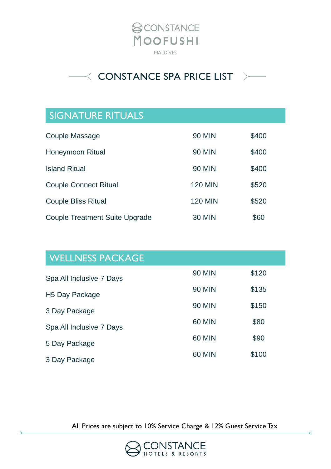



## SIGNATURE RITUALS

| Couple Massage                        | 90 MIN         | \$400 |
|---------------------------------------|----------------|-------|
| Honeymoon Ritual                      | 90 MIN         | \$400 |
| <b>Island Ritual</b>                  | <b>90 MIN</b>  | \$400 |
| <b>Couple Connect Ritual</b>          | <b>120 MIN</b> | \$520 |
| <b>Couple Bliss Ritual</b>            | <b>120 MIN</b> | \$520 |
| <b>Couple Treatment Suite Upgrade</b> | 30 MIN         | \$60  |

| <b>WELLNESS PACKAGE</b>    |               |       |
|----------------------------|---------------|-------|
| Spa All Inclusive 7 Days   | <b>90 MIN</b> | \$120 |
| H <sub>5</sub> Day Package | <b>90 MIN</b> | \$135 |
| 3 Day Package              | <b>90 MIN</b> | \$150 |
| Spa All Inclusive 7 Days   | <b>60 MIN</b> | \$80  |
| 5 Day Package              | <b>60 MIN</b> | \$90  |
| 3 Day Package              | <b>60 MIN</b> | \$100 |

All Prices are subject to 10% Service Charge & 12% Guest Service Tax

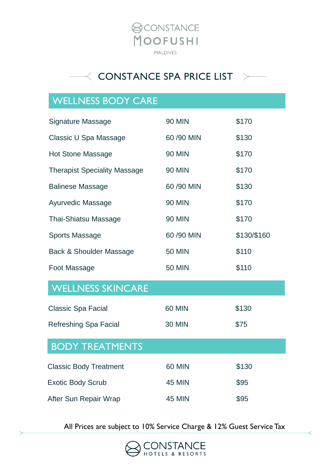



## WELLNESS BODY CARE

| <b>Signature Massage</b>            | <b>90 MIN</b> | \$170       |
|-------------------------------------|---------------|-------------|
| Classic U Spa Massage               | 60 /90 MIN    | \$130       |
| <b>Hot Stone Massage</b>            | <b>90 MIN</b> | \$170       |
| <b>Therapist Speciality Massage</b> | <b>90 MIN</b> | \$170       |
| <b>Balinese Massage</b>             | 60 /90 MIN    | \$130       |
| <b>Ayurvedic Massage</b>            | <b>90 MIN</b> | \$170       |
| <b>Thai-Shiatsu Massage</b>         | <b>90 MIN</b> | \$170       |
| <b>Sports Massage</b>               | 60 /90 MIN    | \$130/\$160 |
| <b>Back &amp; Shoulder Massage</b>  | <b>50 MIN</b> | \$110       |
| Foot Massage                        | <b>50 MIN</b> | \$110       |
| <b>WELLNESS SKINCARE</b>            |               |             |
| <b>Classic Spa Facial</b>           | <b>60 MIN</b> | \$130       |
| Refreshing Spa Facial               | <b>30 MIN</b> | \$75        |
| <b>BODY TREATMENTS</b>              |               |             |
| <b>Classic Body Treatment</b>       | <b>60 MIN</b> | \$130       |
| <b>Exotic Body Scrub</b>            | <b>45 MIN</b> | \$95        |
| After Sun Repair Wrap               | <b>45 MIN</b> | \$95        |

All Prices are subject to 10% Service Charge & 12% Guest Service Tax